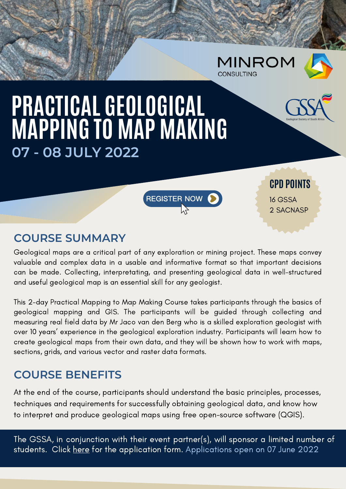|                               | <b>MINROM</b><br><b>CONSULTING</b> | the same company company and the same of              |
|-------------------------------|------------------------------------|-------------------------------------------------------|
| L GEOLOGICAL<br>TN MAD MAKING |                                    | $CS S S$<br><b>Geological Society of South Africa</b> |

**CPD POINTS**

2 SACNASP

16 GSSA

# **PRACTICAL GEOLOGICAL MAPPING TO MAP MAKING 07 - 08 JULY 2022**

**COURSE SUMMARY**

Geological maps are a critical part of any exploration or mining project. These maps convey valuable and complex data in a usable and informative format so that important decisions can be made. Collecting, interpretating, and presenting geological data in well-structured and useful geological map is an essential skill for any geologist.

REGISTER NOW

This 2-day Practical Mapping to Map Making Course takes participants through the basics of geological mapping and GIS. The participants will be guided through collecting and measuring real field data by Mr Jaco van den Berg who is a skilled exploration geologist with over 10 years' experience in the geological exploration industry. Participants will learn how to create geological maps from their own data, and they will be shown how to work with maps, sections, grids, and various vector and raster data formats.

# **COURSE BENEFITS**

At the end of the course, participants should understand the basic principles, processes, techniques and requirements for successfully obtaining geological data, and know how to interpret and produce geological maps using free open-source software (QGIS).

The GSSA, in conjunction with their event partner(s), will sponsor a limited number of students. Click [here](https://www.gssa.org.za/uploads/newsletters/Events/Student_Sponsor.pdf) for the application form. Applications open on 07 June 2022